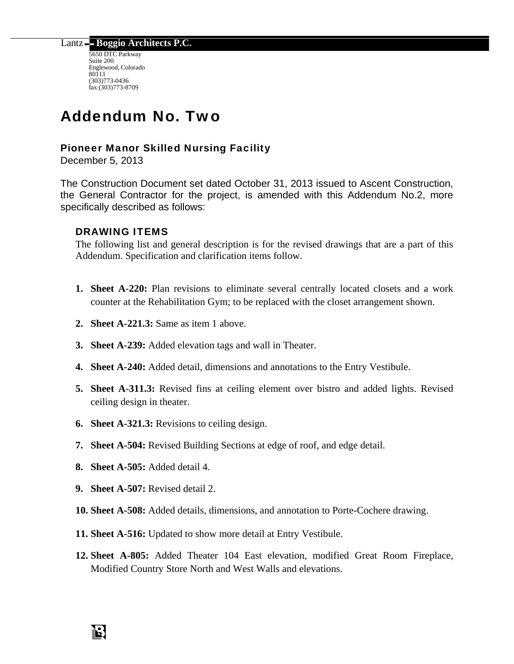Lantz **Boggio Architects P.C.** 

5650 DTC Parkway Suite 200 Englewood, Colorado 80111 (303)773-0436 fax (303)773-8709

# Addendum No. Two

## Pioneer Manor Skilled Nursing Facility

December 5, 2013

The Construction Document set dated October 31, 2013 issued to Ascent Construction, the General Contractor for the project, is amended with this Addendum No.2, more specifically described as follows:

## DRAWING ITEMS

The following list and general description is for the revised drawings that are a part of this Addendum. Specification and clarification items follow.

- **1. Sheet A-220:** Plan revisions to eliminate several centrally located closets and a work counter at the Rehabilitation Gym; to be replaced with the closet arrangement shown.
- **2. Sheet A-221.3:** Same as item 1 above.
- **3. Sheet A-239:** Added elevation tags and wall in Theater.
- **4. Sheet A-240:** Added detail, dimensions and annotations to the Entry Vestibule.
- **5. Sheet A-311.3:** Revised fins at ceiling element over bistro and added lights. Revised ceiling design in theater.
- **6. Sheet A-321.3:** Revisions to ceiling design.
- **7. Sheet A-504:** Revised Building Sections at edge of roof, and edge detail.
- **8. Sheet A-505:** Added detail 4.
- **9. Sheet A-507:** Revised detail 2.
- **10. Sheet A-508:** Added details, dimensions, and annotation to Porte-Cochere drawing.
- **11. Sheet A-516:** Updated to show more detail at Entry Vestibule.
- **12. Sheet A-805:** Added Theater 104 East elevation, modified Great Room Fireplace, Modified Country Store North and West Walls and elevations.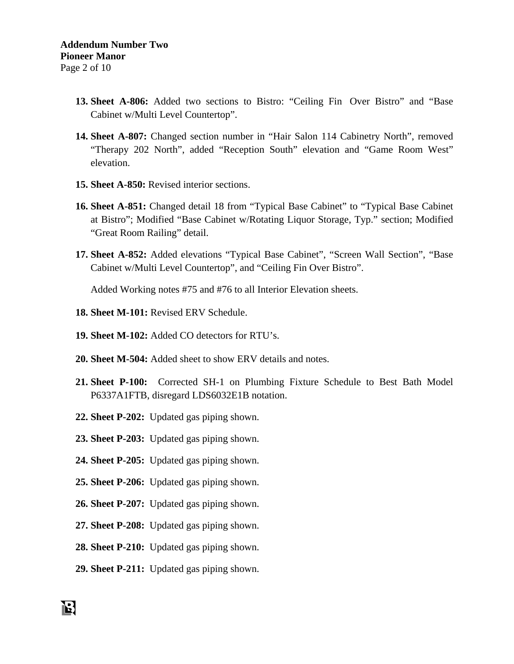- **13. Sheet A-806:** Added two sections to Bistro: "Ceiling Fin Over Bistro" and "Base Cabinet w/Multi Level Countertop".
- **14. Sheet A-807:** Changed section number in "Hair Salon 114 Cabinetry North", removed "Therapy 202 North", added "Reception South" elevation and "Game Room West" elevation.
- **15. Sheet A-850:** Revised interior sections.
- **16. Sheet A-851:** Changed detail 18 from "Typical Base Cabinet" to "Typical Base Cabinet at Bistro"; Modified "Base Cabinet w/Rotating Liquor Storage, Typ." section; Modified "Great Room Railing" detail.
- **17. Sheet A-852:** Added elevations "Typical Base Cabinet", "Screen Wall Section", "Base Cabinet w/Multi Level Countertop", and "Ceiling Fin Over Bistro".

Added Working notes #75 and #76 to all Interior Elevation sheets.

- **18. Sheet M-101:** Revised ERV Schedule.
- **19. Sheet M-102:** Added CO detectors for RTU's.
- **20. Sheet M-504:** Added sheet to show ERV details and notes.
- **21. Sheet P-100:** Corrected SH-1 on Plumbing Fixture Schedule to Best Bath Model P6337A1FTB, disregard LDS6032E1B notation.
- **22. Sheet P-202:** Updated gas piping shown.
- **23. Sheet P-203:** Updated gas piping shown.
- **24. Sheet P-205:** Updated gas piping shown.
- **25. Sheet P-206:** Updated gas piping shown.
- **26. Sheet P-207:** Updated gas piping shown.
- **27. Sheet P-208:** Updated gas piping shown.
- **28. Sheet P-210:** Updated gas piping shown.
- **29. Sheet P-211:** Updated gas piping shown.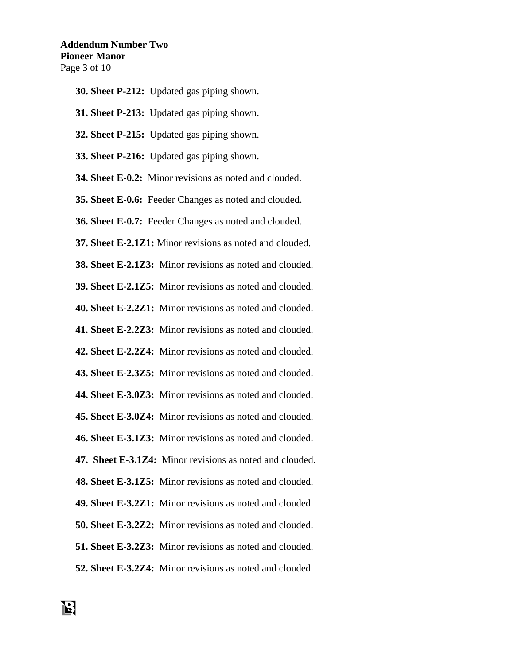- **30. Sheet P-212:** Updated gas piping shown.
- **31. Sheet P-213:** Updated gas piping shown.
- **32. Sheet P-215:** Updated gas piping shown.
- **33. Sheet P-216:** Updated gas piping shown.
- **34. Sheet E-0.2:** Minor revisions as noted and clouded.
- **35. Sheet E-0.6:** Feeder Changes as noted and clouded.
- **36. Sheet E-0.7:** Feeder Changes as noted and clouded.
- **37. Sheet E-2.1Z1:** Minor revisions as noted and clouded.
- **38. Sheet E-2.1Z3:** Minor revisions as noted and clouded.
- **39. Sheet E-2.1Z5:** Minor revisions as noted and clouded.
- **40. Sheet E-2.2Z1:** Minor revisions as noted and clouded.
- **41. Sheet E-2.2Z3:** Minor revisions as noted and clouded.
- **42. Sheet E-2.2Z4:** Minor revisions as noted and clouded.
- **43. Sheet E-2.3Z5:** Minor revisions as noted and clouded.
- **44. Sheet E-3.0Z3:** Minor revisions as noted and clouded.
- **45. Sheet E-3.0Z4:** Minor revisions as noted and clouded.
- **46. Sheet E-3.1Z3:** Minor revisions as noted and clouded.
- **47. Sheet E-3.1Z4:** Minor revisions as noted and clouded.
- **48. Sheet E-3.1Z5:** Minor revisions as noted and clouded.
- **49. Sheet E-3.2Z1:** Minor revisions as noted and clouded.
- **50. Sheet E-3.2Z2:** Minor revisions as noted and clouded.
- **51. Sheet E-3.2Z3:** Minor revisions as noted and clouded.
- **52. Sheet E-3.2Z4:** Minor revisions as noted and clouded.

13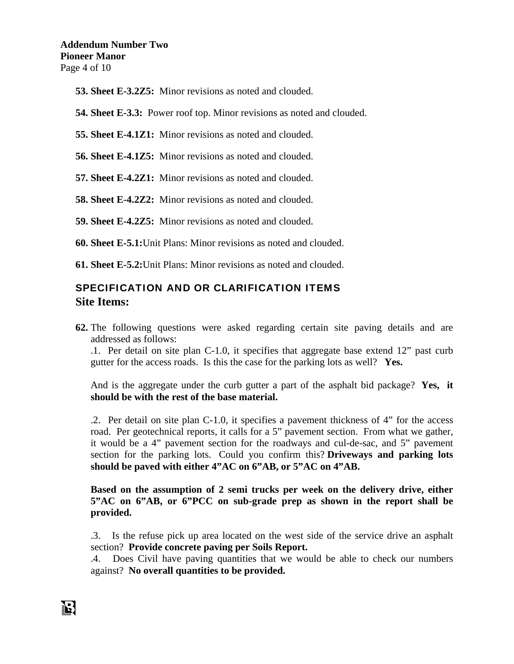- **53. Sheet E-3.2Z5:** Minor revisions as noted and clouded.
- **54. Sheet E-3.3:** Power roof top. Minor revisions as noted and clouded.
- **55. Sheet E-4.1Z1:** Minor revisions as noted and clouded.
- **56. Sheet E-4.1Z5:** Minor revisions as noted and clouded.
- **57. Sheet E-4.2Z1:** Minor revisions as noted and clouded.
- **58. Sheet E-4.2Z2:** Minor revisions as noted and clouded.
- **59. Sheet E-4.2Z5:** Minor revisions as noted and clouded.
- **60. Sheet E-5.1:**Unit Plans: Minor revisions as noted and clouded.
- **61. Sheet E-5.2:**Unit Plans: Minor revisions as noted and clouded.

# SPECIFICATION AND OR CLARIFICATION ITEMS **Site Items:**

**62.** The following questions were asked regarding certain site paving details and are addressed as follows:

.1. Per detail on site plan C-1.0, it specifies that aggregate base extend 12" past curb gutter for the access roads. Is this the case for the parking lots as well? **Yes.**

And is the aggregate under the curb gutter a part of the asphalt bid package? **Yes, it should be with the rest of the base material.** 

.2. Per detail on site plan C-1.0, it specifies a pavement thickness of 4" for the access road. Per geotechnical reports, it calls for a 5" pavement section. From what we gather, it would be a 4" pavement section for the roadways and cul-de-sac, and 5" pavement section for the parking lots. Could you confirm this? **Driveways and parking lots should be paved with either 4"AC on 6"AB, or 5"AC on 4"AB.** 

**Based on the assumption of 2 semi trucks per week on the delivery drive, either 5"AC on 6"AB, or 6"PCC on sub-grade prep as shown in the report shall be provided.** 

.3. Is the refuse pick up area located on the west side of the service drive an asphalt section? **Provide concrete paving per Soils Report.**

.4. Does Civil have paving quantities that we would be able to check our numbers against? **No overall quantities to be provided.**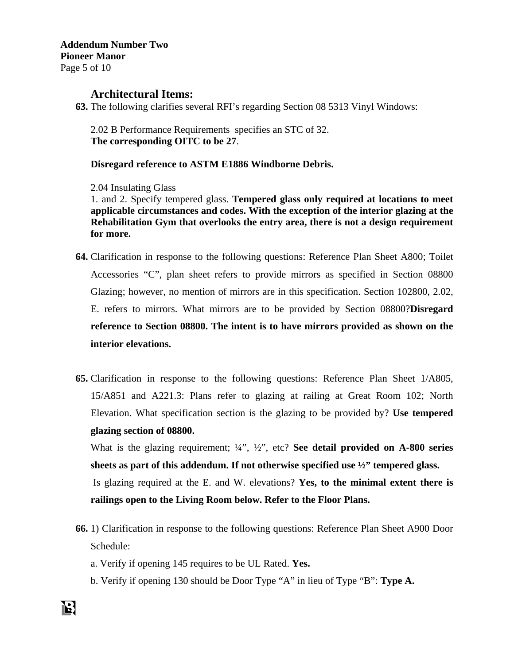## **Architectural Items:**

**63.** The following clarifies several RFI's regarding Section 08 5313 Vinyl Windows:

2.02 B Performance Requirements specifies an STC of 32. **The corresponding OITC to be 27**.

**Disregard reference to ASTM E1886 Windborne Debris.** 

2.04 Insulating Glass

1. and 2. Specify tempered glass. **Tempered glass only required at locations to meet applicable circumstances and codes. With the exception of the interior glazing at the Rehabilitation Gym that overlooks the entry area, there is not a design requirement for more.** 

- **64.** Clarification in response to the following questions: Reference Plan Sheet A800; Toilet Accessories "C", plan sheet refers to provide mirrors as specified in Section 08800 Glazing; however, no mention of mirrors are in this specification. Section 102800, 2.02, E. refers to mirrors. What mirrors are to be provided by Section 08800?**Disregard reference to Section 08800. The intent is to have mirrors provided as shown on the interior elevations.**
- **65.** Clarification in response to the following questions: Reference Plan Sheet 1/A805, 15/A851 and A221.3: Plans refer to glazing at railing at Great Room 102; North Elevation. What specification section is the glazing to be provided by? **Use tempered glazing section of 08800.**

What is the glazing requirement; ¼", ½", etc? **See detail provided on A-800 series sheets as part of this addendum. If not otherwise specified use ½" tempered glass.** Is glazing required at the E. and W. elevations? **Yes, to the minimal extent there is railings open to the Living Room below. Refer to the Floor Plans.** 

- **66.** 1) Clarification in response to the following questions: Reference Plan Sheet A900 Door Schedule:
	- a. Verify if opening 145 requires to be UL Rated. **Yes.**
	- b. Verify if opening 130 should be Door Type "A" in lieu of Type "B": **Type A.**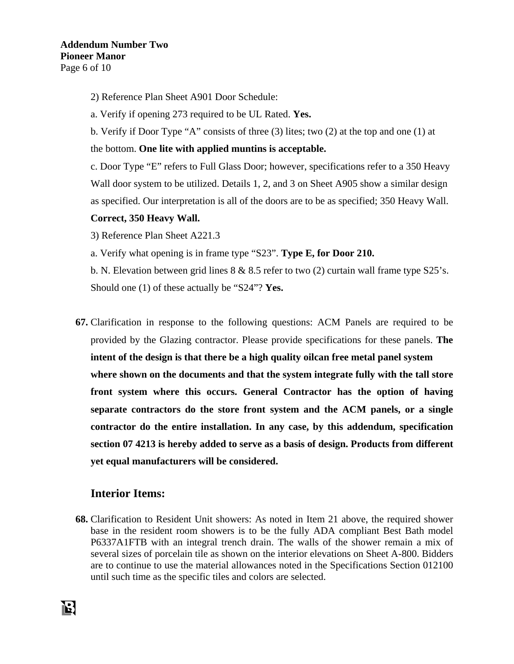- 2) Reference Plan Sheet A901 Door Schedule:
- a. Verify if opening 273 required to be UL Rated. **Yes.**
- b. Verify if Door Type "A" consists of three (3) lites; two (2) at the top and one (1) at
- the bottom. **One lite with applied muntins is acceptable.**

c. Door Type "E" refers to Full Glass Door; however, specifications refer to a 350 Heavy Wall door system to be utilized. Details 1, 2, and 3 on Sheet A905 show a similar design as specified. Our interpretation is all of the doors are to be as specified; 350 Heavy Wall.

## **Correct, 350 Heavy Wall.**

3) Reference Plan Sheet A221.3

a. Verify what opening is in frame type "S23". **Type E, for Door 210.** 

b. N. Elevation between grid lines 8 & 8.5 refer to two (2) curtain wall frame type S25's. Should one (1) of these actually be "S24"? **Yes.** 

**67.** Clarification in response to the following questions: ACM Panels are required to be provided by the Glazing contractor. Please provide specifications for these panels. **The intent of the design is that there be a high quality oilcan free metal panel system where shown on the documents and that the system integrate fully with the tall store front system where this occurs. General Contractor has the option of having separate contractors do the store front system and the ACM panels, or a single contractor do the entire installation. In any case, by this addendum, specification section 07 4213 is hereby added to serve as a basis of design. Products from different yet equal manufacturers will be considered.** 

# **Interior Items:**

**68.** Clarification to Resident Unit showers: As noted in Item 21 above, the required shower base in the resident room showers is to be the fully ADA compliant Best Bath model P6337A1FTB with an integral trench drain. The walls of the shower remain a mix of several sizes of porcelain tile as shown on the interior elevations on Sheet A-800. Bidders are to continue to use the material allowances noted in the Specifications Section 012100 until such time as the specific tiles and colors are selected.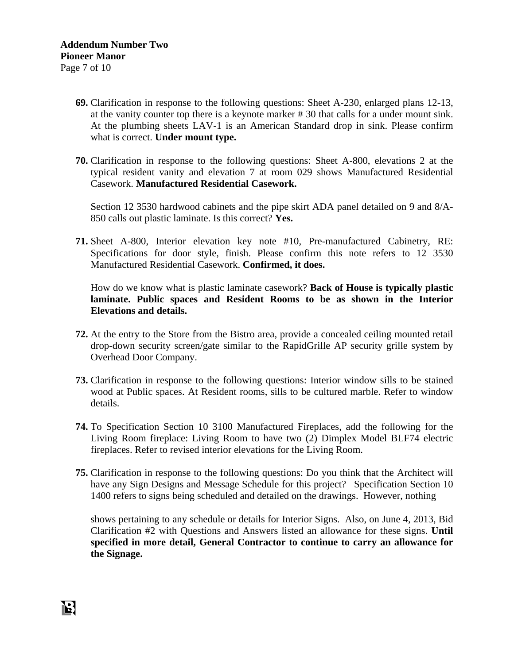- **69.** Clarification in response to the following questions: Sheet A-230, enlarged plans 12-13, at the vanity counter top there is a keynote marker # 30 that calls for a under mount sink. At the plumbing sheets LAV-1 is an American Standard drop in sink. Please confirm what is correct. **Under mount type.**
- **70.** Clarification in response to the following questions: Sheet A-800, elevations 2 at the typical resident vanity and elevation 7 at room 029 shows Manufactured Residential Casework. **Manufactured Residential Casework.**

Section 12 3530 hardwood cabinets and the pipe skirt ADA panel detailed on 9 and 8/A-850 calls out plastic laminate. Is this correct? **Yes.**

**71.** Sheet A-800, Interior elevation key note #10, Pre-manufactured Cabinetry, RE: Specifications for door style, finish. Please confirm this note refers to 12 3530 Manufactured Residential Casework. **Confirmed, it does.**

How do we know what is plastic laminate casework? **Back of House is typically plastic laminate. Public spaces and Resident Rooms to be as shown in the Interior Elevations and details.**

- **72.** At the entry to the Store from the Bistro area, provide a concealed ceiling mounted retail drop-down security screen/gate similar to the RapidGrille AP security grille system by Overhead Door Company.
- **73.** Clarification in response to the following questions: Interior window sills to be stained wood at Public spaces. At Resident rooms, sills to be cultured marble. Refer to window details.
- **74.** To Specification Section 10 3100 Manufactured Fireplaces, add the following for the Living Room fireplace: Living Room to have two (2) Dimplex Model BLF74 electric fireplaces. Refer to revised interior elevations for the Living Room.
- **75.** Clarification in response to the following questions: Do you think that the Architect will have any Sign Designs and Message Schedule for this project? Specification Section 10 1400 refers to signs being scheduled and detailed on the drawings. However, nothing

shows pertaining to any schedule or details for Interior Signs. Also, on June 4, 2013, Bid Clarification #2 with Questions and Answers listed an allowance for these signs. **Until specified in more detail, General Contractor to continue to carry an allowance for the Signage.**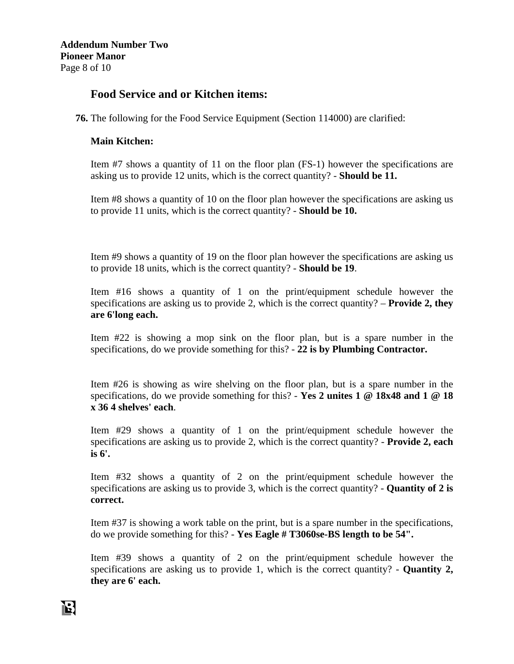# **Food Service and or Kitchen items:**

**76.** The following for the Food Service Equipment (Section 114000) are clarified:

## **Main Kitchen:**

Item #7 shows a quantity of 11 on the floor plan (FS-1) however the specifications are asking us to provide 12 units, which is the correct quantity? - **Should be 11.**

Item #8 shows a quantity of 10 on the floor plan however the specifications are asking us to provide 11 units, which is the correct quantity? - **Should be 10.**

Item #9 shows a quantity of 19 on the floor plan however the specifications are asking us to provide 18 units, which is the correct quantity? - **Should be 19**.

Item #16 shows a quantity of 1 on the print/equipment schedule however the specifications are asking us to provide 2, which is the correct quantity? – **Provide 2, they are 6'long each.**

Item #22 is showing a mop sink on the floor plan, but is a spare number in the specifications, do we provide something for this? - **22 is by Plumbing Contractor.**

Item #26 is showing as wire shelving on the floor plan, but is a spare number in the specifications, do we provide something for this? - **Yes 2 unites 1 @ 18x48 and 1 @ 18 x 36 4 shelves' each**.

Item #29 shows a quantity of 1 on the print/equipment schedule however the specifications are asking us to provide 2, which is the correct quantity? - **Provide 2, each is 6'.** 

Item #32 shows a quantity of 2 on the print/equipment schedule however the specifications are asking us to provide 3, which is the correct quantity? - **Quantity of 2 is correct.**

Item #37 is showing a work table on the print, but is a spare number in the specifications, do we provide something for this? - **Yes Eagle # T3060se-BS length to be 54".** 

Item #39 shows a quantity of 2 on the print/equipment schedule however the specifications are asking us to provide 1, which is the correct quantity? - **Quantity 2, they are 6' each.**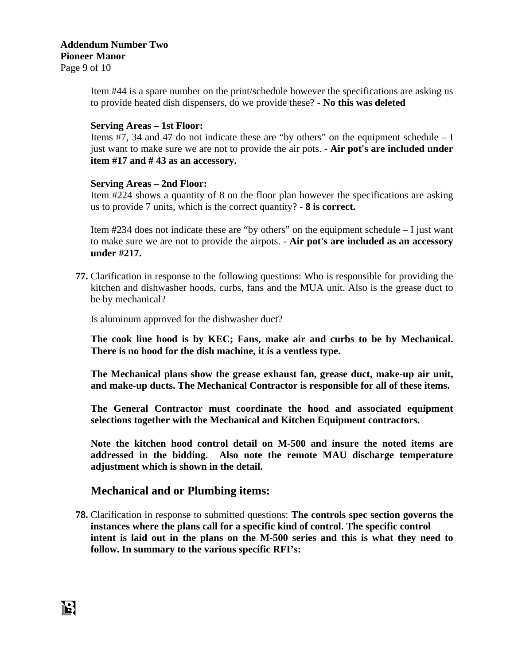## **Addendum Number Two Pioneer Manor**  Page 9 of 10

Item #44 is a spare number on the print/schedule however the specifications are asking us to provide heated dish dispensers, do we provide these? - **No this was deleted**

#### **Serving Areas – 1st Floor:**

Items  $#7$ , 34 and 47 do not indicate these are "by others" on the equipment schedule  $- I$ just want to make sure we are not to provide the air pots. - **Air pot's are included under item #17 and # 43 as an accessory.**

#### **Serving Areas – 2nd Floor:**

Item #224 shows a quantity of 8 on the floor plan however the specifications are asking us to provide 7 units, which is the correct quantity? **- 8 is correct.**

Item #234 does not indicate these are "by others" on the equipment schedule – I just want to make sure we are not to provide the airpots. - **Air pot's are included as an accessory under #217.** 

**77.** Clarification in response to the following questions: Who is responsible for providing the kitchen and dishwasher hoods, curbs, fans and the MUA unit. Also is the grease duct to be by mechanical?

Is aluminum approved for the dishwasher duct?

**The cook line hood is by KEC; Fans, make air and curbs to be by Mechanical. There is no hood for the dish machine, it is a ventless type.** 

**The Mechanical plans show the grease exhaust fan, grease duct, make-up air unit, and make-up ducts. The Mechanical Contractor is responsible for all of these items.** 

**The General Contractor must coordinate the hood and associated equipment selections together with the Mechanical and Kitchen Equipment contractors.** 

**Note the kitchen hood control detail on M-500 and insure the noted items are addressed in the bidding. Also note the remote MAU discharge temperature adjustment which is shown in the detail.** 

## **Mechanical and or Plumbing items:**

**78.** Clarification in response to submitted questions: **The controls spec section governs the instances where the plans call for a specific kind of control. The specific control intent is laid out in the plans on the M-500 series and this is what they need to follow. In summary to the various specific RFI's:**